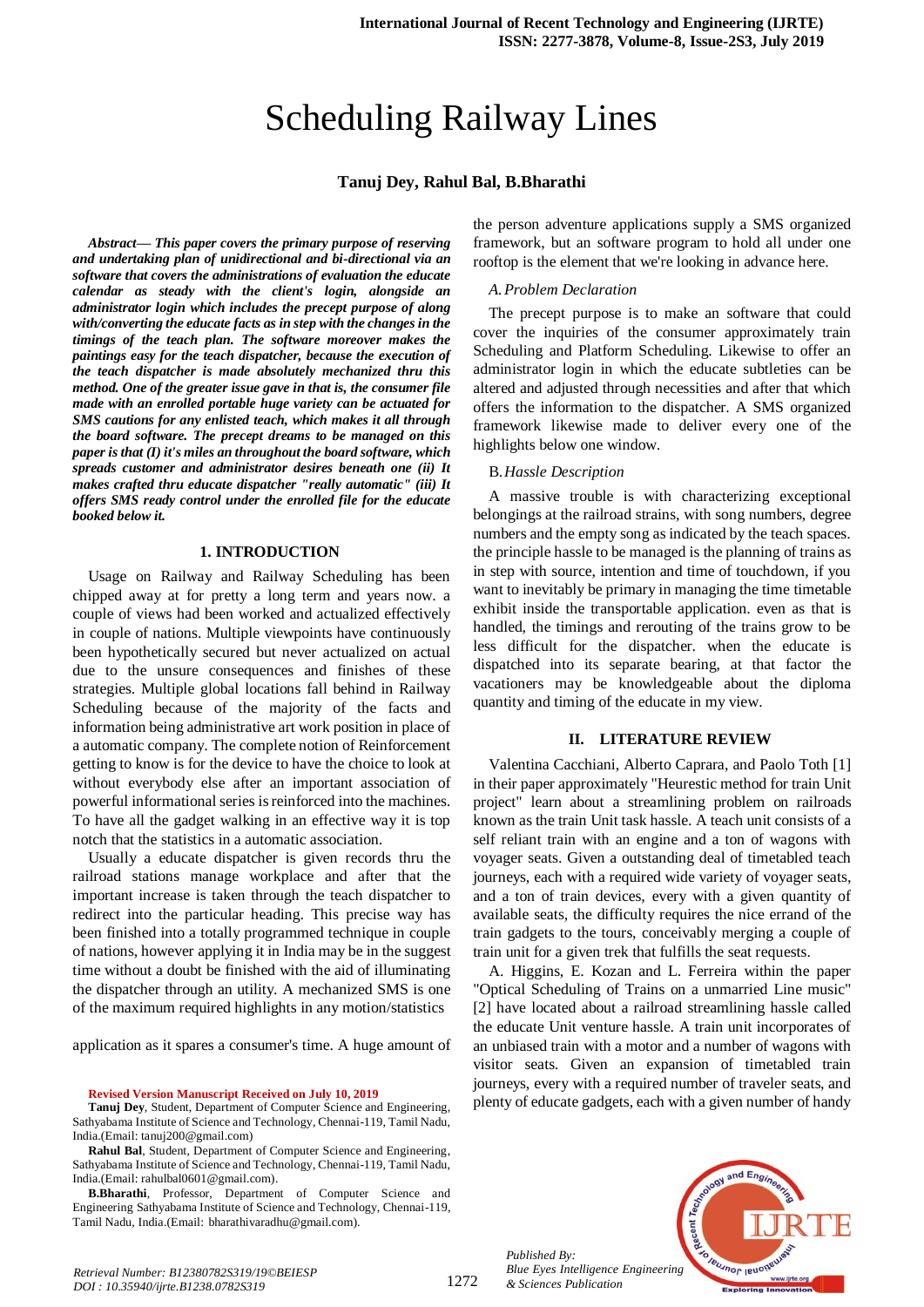# Scheduling Railway Lines

# **Tanuj Dey, Rahul Bal, B.Bharathi**

*Abstract***—** *This paper covers the primary purpose of reserving and undertaking plan of unidirectional and bi-directional via an software that covers the administrations of evaluation the educate calendar as steady with the client's login, alongside an administrator login which includes the precept purpose of along with/converting the educate facts as in step with the changes in the timings of the teach plan. The software moreover makes the paintings easy for the teach dispatcher, because the execution of the teach dispatcher is made absolutely mechanized thru this method. One of the greater issue gave in that is, the consumer file made with an enrolled portable huge variety can be actuated for SMS cautions for any enlisted teach, which makes it all through the board software. The precept dreams to be managed on this paper is that (I) it's miles an throughout the board software, which spreads customer and administrator desires beneath one (ii) It makes crafted thru educate dispatcher "really automatic" (iii) It offers SMS ready control under the enrolled file for the educate booked below it.*

# **1. INTRODUCTION**

Usage on Railway and Railway Scheduling has been chipped away at for pretty a long term and years now. a couple of views had been worked and actualized effectively in couple of nations. Multiple viewpoints have continuously been hypothetically secured but never actualized on actual due to the unsure consequences and finishes of these strategies. Multiple global locations fall behind in Railway Scheduling because of the majority of the facts and information being administrative art work position in place of a automatic company. The complete notion of Reinforcement getting to know is for the device to have the choice to look at without everybody else after an important association of powerful informational series is reinforced into the machines. To have all the gadget walking in an effective way it is top notch that the statistics in a automatic association.

Usually a educate dispatcher is given records thru the railroad stations manage workplace and after that the important increase is taken through the teach dispatcher to redirect into the particular heading. This precise way has been finished into a totally programmed technique in couple of nations, however applying it in India may be in the suggest time without a doubt be finished with the aid of illuminating the dispatcher through an utility. A mechanized SMS is one of the maximum required highlights in any motion/statistics

application as it spares a consumer's time. A huge amount of

#### **Revised Version Manuscript Received on July 10, 2019**

**Tanuj Dey**, Student, Department of Computer Science and Engineering, Sathyabama Institute of Science and Technology, Chennai-119, Tamil Nadu, India.(Email: tanuj200@gmail.com)

**Rahul Bal**, Student, Department of Computer Science and Engineering, Sathyabama Institute of Science and Technology, Chennai-119, Tamil Nadu, India.(Email: rahulbal0601@gmail.com).

**B.Bharathi**, Professor, Department of Computer Science and Engineering Sathyabama Institute of Science and Technology, Chennai-119, Tamil Nadu, India.(Email: bharathivaradhu@gmail.com).

the person adventure applications supply a SMS organized framework, but an software program to hold all under one rooftop is the element that we're looking in advance here.

#### *A.Problem Declaration*

The precept purpose is to make an software that could cover the inquiries of the consumer approximately train Scheduling and Platform Scheduling. Likewise to offer an administrator login in which the educate subtleties can be altered and adjusted through necessities and after that which offers the information to the dispatcher. A SMS organized framework likewise made to deliver every one of the highlights below one window.

#### B.*Hassle Description*

A massive trouble is with characterizing exceptional belongings at the railroad strains, with song numbers, degree numbers and the empty song as indicated by the teach spaces. the principle hassle to be managed is the planning of trains as in step with source, intention and time of touchdown, if you want to inevitably be primary in managing the time timetable exhibit inside the transportable application. even as that is handled, the timings and rerouting of the trains grow to be less difficult for the dispatcher. when the educate is dispatched into its separate bearing, at that factor the vacationers may be knowledgeable about the diploma quantity and timing of the educate in my view.

#### **II. LITERATURE REVIEW**

Valentina Cacchiani, Alberto Caprara, and Paolo Toth [1] in their paper approximately "Heurestic method for train Unit project" learn about a streamlining problem on railroads known as the train Unit task hassle. A teach unit consists of a self reliant train with an engine and a ton of wagons with voyager seats. Given a outstanding deal of timetabled teach journeys, each with a required wide variety of voyager seats, and a ton of train devices, every with a given quantity of available seats, the difficulty requires the nice errand of the train gadgets to the tours, conceivably merging a couple of train unit for a given trek that fulfills the seat requests.

A. Higgins, E. Kozan and L. Ferreira within the paper "Optical Scheduling of Trains on a unmarried Line music" [2] have located about a railroad streamlining hassle called the educate Unit venture hassle. A train unit incorporates of an unbiased train with a motor and a number of wagons with visitor seats. Given an expansion of timetabled train journeys, every with a required number of traveler seats, and plenty of educate gadgets, each with a given number of handy



*Published By: Blue Eyes Intelligence Engineering & Sciences Publication*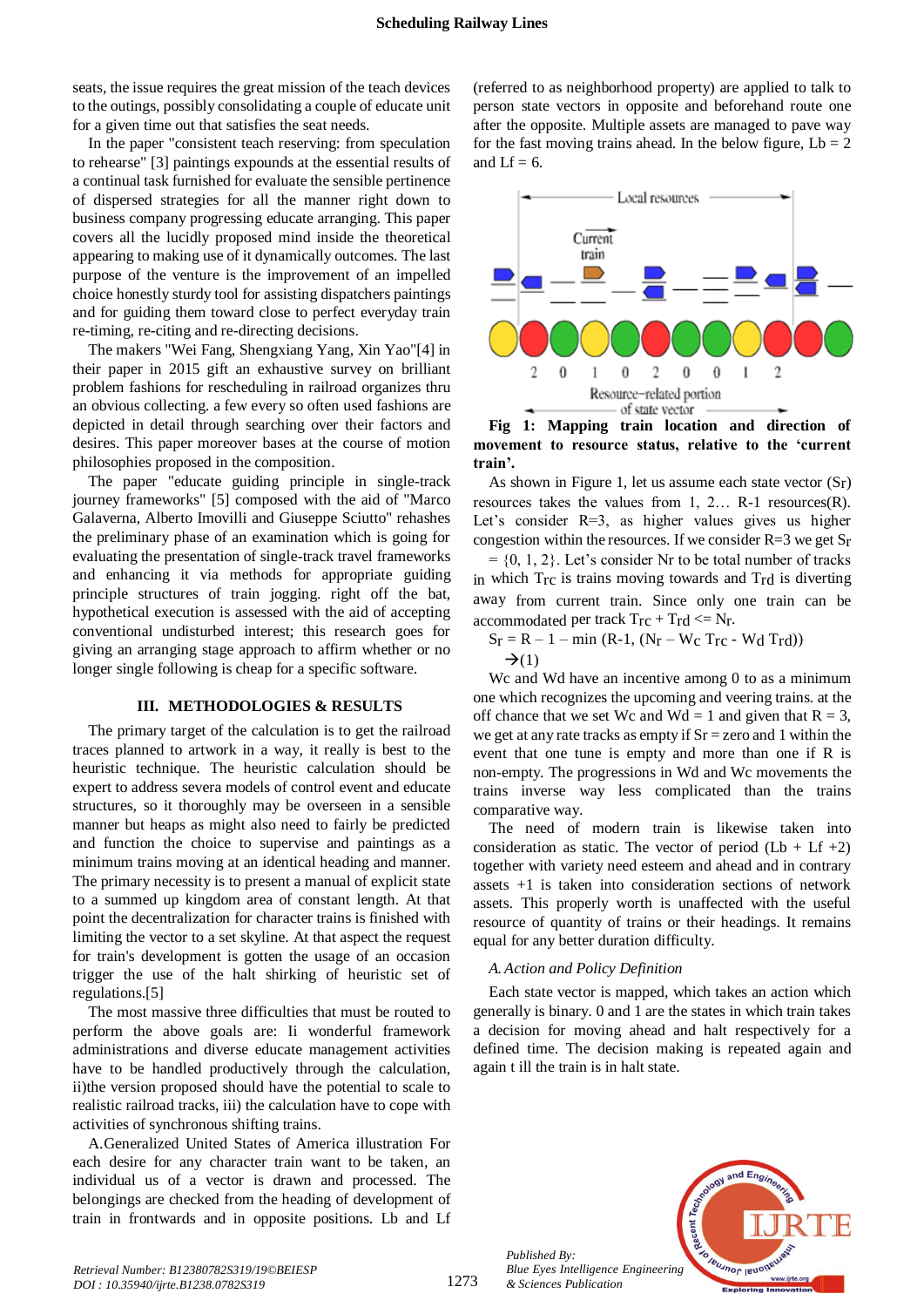seats, the issue requires the great mission of the teach devices to the outings, possibly consolidating a couple of educate unit for a given time out that satisfies the seat needs.

In the paper "consistent teach reserving: from speculation to rehearse" [3] paintings expounds at the essential results of a continual task furnished for evaluate the sensible pertinence of dispersed strategies for all the manner right down to business company progressing educate arranging. This paper covers all the lucidly proposed mind inside the theoretical appearing to making use of it dynamically outcomes. The last purpose of the venture is the improvement of an impelled choice honestly sturdy tool for assisting dispatchers paintings and for guiding them toward close to perfect everyday train re-timing, re-citing and re-directing decisions.

The makers "Wei Fang, Shengxiang Yang, Xin Yao"[4] in their paper in 2015 gift an exhaustive survey on brilliant problem fashions for rescheduling in railroad organizes thru an obvious collecting. a few every so often used fashions are depicted in detail through searching over their factors and desires. This paper moreover bases at the course of motion philosophies proposed in the composition.

The paper "educate guiding principle in single-track journey frameworks" [5] composed with the aid of "Marco Galaverna, Alberto Imovilli and Giuseppe Sciutto" rehashes the preliminary phase of an examination which is going for evaluating the presentation of single-track travel frameworks and enhancing it via methods for appropriate guiding principle structures of train jogging. right off the bat, hypothetical execution is assessed with the aid of accepting conventional undisturbed interest; this research goes for giving an arranging stage approach to affirm whether or no longer single following is cheap for a specific software.

# **III. METHODOLOGIES & RESULTS**

The primary target of the calculation is to get the railroad traces planned to artwork in a way, it really is best to the heuristic technique. The heuristic calculation should be expert to address severa models of control event and educate structures, so it thoroughly may be overseen in a sensible manner but heaps as might also need to fairly be predicted and function the choice to supervise and paintings as a minimum trains moving at an identical heading and manner. The primary necessity is to present a manual of explicit state to a summed up kingdom area of constant length. At that point the decentralization for character trains is finished with limiting the vector to a set skyline. At that aspect the request for train's development is gotten the usage of an occasion trigger the use of the halt shirking of heuristic set of regulations.[5]

The most massive three difficulties that must be routed to perform the above goals are: Ii wonderful framework administrations and diverse educate management activities have to be handled productively through the calculation, ii)the version proposed should have the potential to scale to realistic railroad tracks, iii) the calculation have to cope with activities of synchronous shifting trains.

A.Generalized United States of America illustration For each desire for any character train want to be taken, an individual us of a vector is drawn and processed. The belongings are checked from the heading of development of train in frontwards and in opposite positions. Lb and Lf

(referred to as neighborhood property) are applied to talk to person state vectors in opposite and beforehand route one after the opposite. Multiple assets are managed to pave way for the fast moving trains ahead. In the below figure,  $Lb = 2$ and  $Lf = 6$ .



**Fig 1: Mapping train location and direction of movement to resource status, relative to the 'current train'.**

As shown in Figure 1, let us assume each state vector  $(S_r)$ resources takes the values from 1, 2… R-1 resources(R). Let's consider R=3, as higher values gives us higher congestion within the resources. If we consider  $R=3$  we get  $S_r$ 

 $= \{0, 1, 2\}$ . Let's consider Nr to be total number of tracks in which Trc is trains moving towards and Trd is diverting away from current train. Since only one train can be accommodated per track  $T_{rc} + T_{rd} \leq N_r$ .

 $S_r = R - 1 - min (R-1, (N_r - W_c) Tr_c - W_d Tr_d))$  $\rightarrow$ (1)

We and Wd have an incentive among 0 to as a minimum one which recognizes the upcoming and veering trains. at the off chance that we set Wc and Wd = 1 and given that  $R = 3$ , we get at any rate tracks as empty if  $Sr = zero$  and 1 within the event that one tune is empty and more than one if R is non-empty. The progressions in Wd and Wc movements the trains inverse way less complicated than the trains comparative way.

The need of modern train is likewise taken into consideration as static. The vector of period  $(Lb + Lf +2)$ together with variety need esteem and ahead and in contrary assets +1 is taken into consideration sections of network assets. This properly worth is unaffected with the useful resource of quantity of trains or their headings. It remains equal for any better duration difficulty.

#### *A. Action and Policy Definition*

Each state vector is mapped, which takes an action which generally is binary. 0 and 1 are the states in which train takes a decision for moving ahead and halt respectively for a defined time. The decision making is repeated again and again t ill the train is in halt state.



*Published By: Blue Eyes Intelligence Engineering & Sciences Publication* 

1273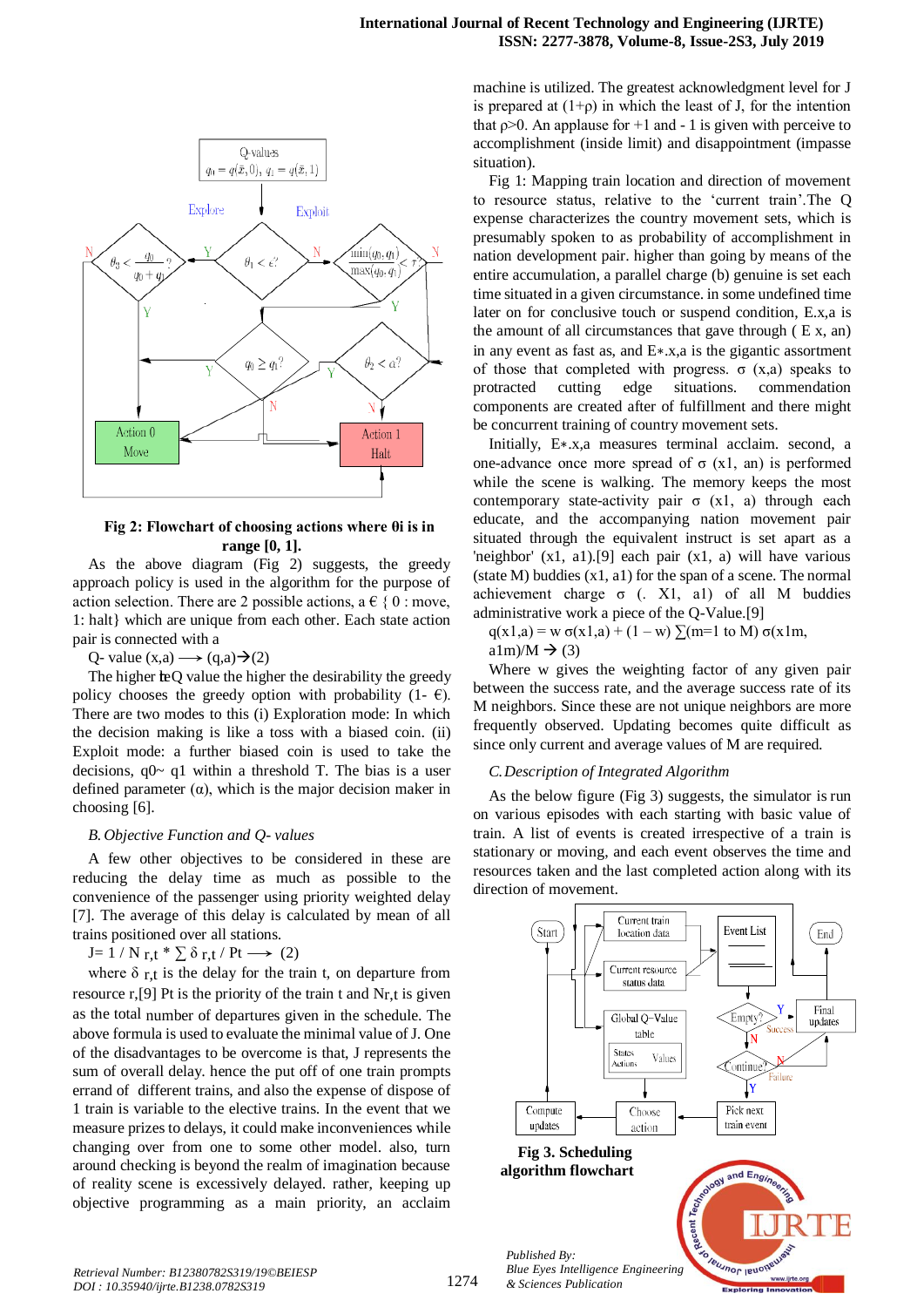

# **Fig 2: Flowchart of choosing actions where θi is in range [0, 1].**

As the above diagram (Fig 2) suggests, the greedy approach policy is used in the algorithm for the purpose of action selection. There are 2 possible actions,  $a \in \{0 : \text{move}, \ldots\}$ 1: halt} which are unique from each other. Each state action pair is connected with a

Q- value  $(x,a) \rightarrow (q,a) \rightarrow (2)$ 

The higher the Q value the higher the desirability the greedy policy chooses the greedy option with probability (1-  $\epsilon$ ). There are two modes to this (i) Exploration mode: In which the decision making is like a toss with a biased coin. (ii) Exploit mode: a further biased coin is used to take the decisions,  $q0 \sim q1$  within a threshold T. The bias is a user defined parameter  $(\alpha)$ , which is the major decision maker in choosing [6].

## *B. Objective Function and Q- values*

A few other objectives to be considered in these are reducing the delay time as much as possible to the convenience of the passenger using priority weighted delay [7]. The average of this delay is calculated by mean of all trains positioned over all stations.

J=  $1 / N r$ ,t \*  $\sum \delta r$ ,t / Pt  $\longrightarrow$  (2)

where  $\delta$  r,t is the delay for the train t, on departure from resource r, [9] Pt is the priority of the train t and  $N_{r,t}$  is given as the total number of departures given in the schedule. The above formula is used to evaluate the minimal value of J. One of the disadvantages to be overcome is that, J represents the sum of overall delay. hence the put off of one train prompts errand of different trains, and also the expense of dispose of 1 train is variable to the elective trains. In the event that we measure prizes to delays, it could make inconveniences while changing over from one to some other model. also, turn around checking is beyond the realm of imagination because of reality scene is excessively delayed. rather, keeping up objective programming as a main priority, an acclaim machine is utilized. The greatest acknowledgment level for J is prepared at  $(1+\rho)$  in which the least of J, for the intention that  $p>0$ . An applause for  $+1$  and  $-1$  is given with perceive to accomplishment (inside limit) and disappointment (impasse situation).

Fig 1: Mapping train location and direction of movement to resource status, relative to the 'current train'.The Q expense characterizes the country movement sets, which is presumably spoken to as probability of accomplishment in nation development pair. higher than going by means of the entire accumulation, a parallel charge (b) genuine is set each time situated in a given circumstance. in some undefined time later on for conclusive touch or suspend condition, E.x,a is the amount of all circumstances that gave through  $(E x, an)$ in any event as fast as, and E∗.x,a is the gigantic assortment of those that completed with progress.  $\sigma$  (x,a) speaks to protracted cutting edge situations. commendation components are created after of fulfillment and there might be concurrent training of country movement sets.

Initially, E∗.x,a measures terminal acclaim. second, a one-advance once more spread of σ (x1, an) is performed while the scene is walking. The memory keeps the most contemporary state-activity pair  $σ$  (x1, a) through each educate, and the accompanying nation movement pair situated through the equivalent instruct is set apart as a 'neighbor' (x1, a1).[9] each pair (x1, a) will have various (state M) buddies  $(x1, a1)$  for the span of a scene. The normal achievement charge  $σ$  (. X1, a1) of all M buddies administrative work a piece of the Q-Value.[9]

 $q(x1,a) = w \sigma(x1,a) + (1 - w) \sum (m=1 \text{ to } M) \sigma(x1m,$ 

a1m)/M  $\rightarrow$  (3)

Where w gives the weighting factor of any given pair between the success rate, and the average success rate of its M neighbors. Since these are not unique neighbors are more frequently observed. Updating becomes quite difficult as since only current and average values of M are required.

## *C.Description of Integrated Algorithm*

As the below figure (Fig 3) suggests, the simulator is run on various episodes with each starting with basic value of train. A list of events is created irrespective of a train is stationary or moving, and each event observes the time and resources taken and the last completed action along with its direction of movement.

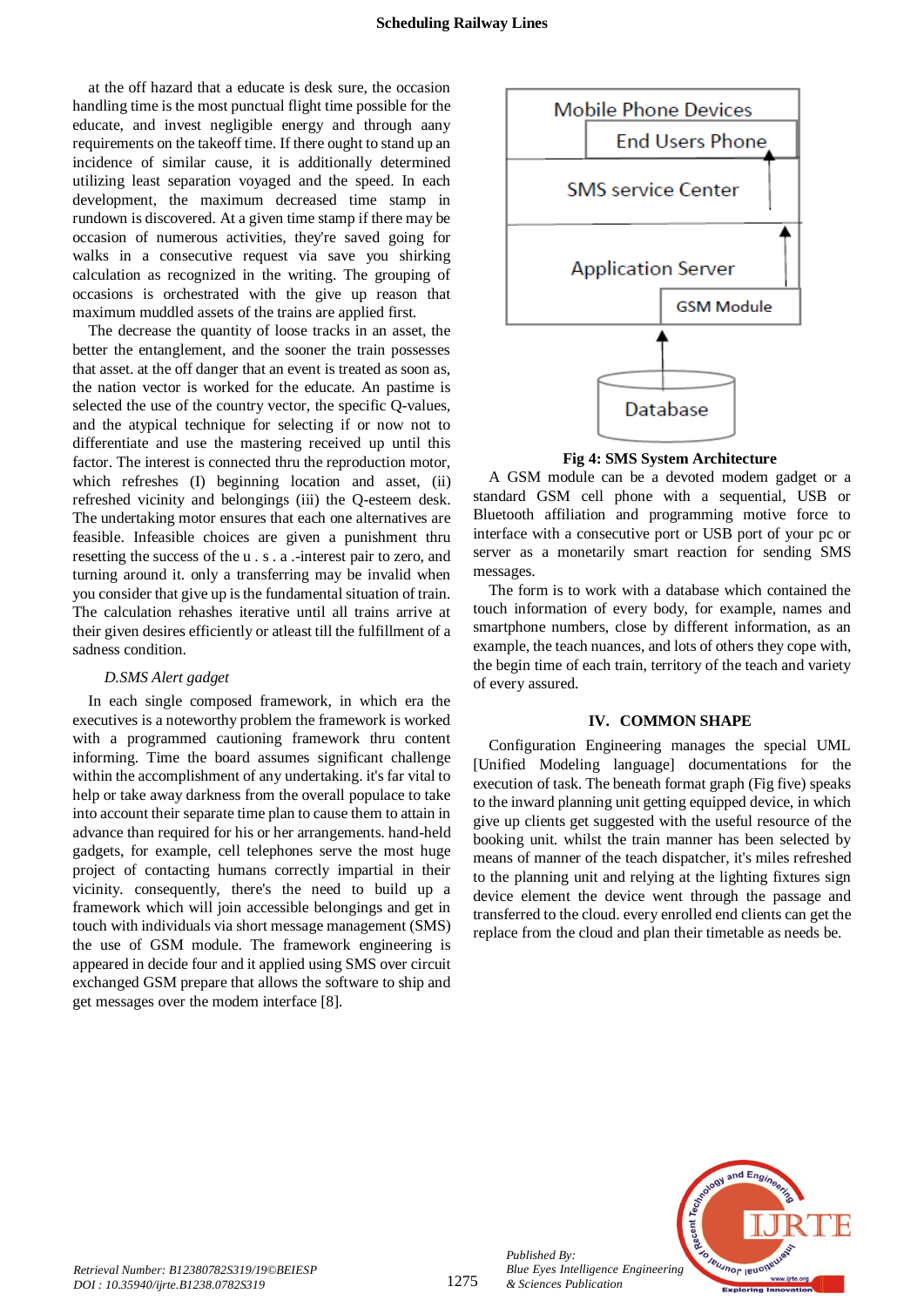at the off hazard that a educate is desk sure, the occasion handling time is the most punctual flight time possible for the educate, and invest negligible energy and through aany requirements on the takeoff time. If there ought to stand up an incidence of similar cause, it is additionally determined utilizing least separation voyaged and the speed. In each development, the maximum decreased time stamp in rundown is discovered. At a given time stamp if there may be occasion of numerous activities, they're saved going for walks in a consecutive request via save you shirking calculation as recognized in the writing. The grouping of occasions is orchestrated with the give up reason that maximum muddled assets of the trains are applied first.

The decrease the quantity of loose tracks in an asset, the better the entanglement, and the sooner the train possesses that asset. at the off danger that an event is treated as soon as, the nation vector is worked for the educate. An pastime is selected the use of the country vector, the specific Q-values, and the atypical technique for selecting if or now not to differentiate and use the mastering received up until this factor. The interest is connected thru the reproduction motor, which refreshes (I) beginning location and asset, (ii) refreshed vicinity and belongings (iii) the Q-esteem desk. The undertaking motor ensures that each one alternatives are feasible. Infeasible choices are given a punishment thru resetting the success of the u . s . a .-interest pair to zero, and turning around it. only a transferring may be invalid when you consider that give up is the fundamental situation of train. The calculation rehashes iterative until all trains arrive at their given desires efficiently or atleast till the fulfillment of a sadness condition.

## *D.SMS Alert gadget*

In each single composed framework, in which era the executives is a noteworthy problem the framework is worked with a programmed cautioning framework thru content informing. Time the board assumes significant challenge within the accomplishment of any undertaking. it's far vital to help or take away darkness from the overall populace to take into account their separate time plan to cause them to attain in advance than required for his or her arrangements. hand-held gadgets, for example, cell telephones serve the most huge project of contacting humans correctly impartial in their vicinity. consequently, there's the need to build up a framework which will join accessible belongings and get in touch with individuals via short message management (SMS) the use of GSM module. The framework engineering is appeared in decide four and it applied using SMS over circuit exchanged GSM prepare that allows the software to ship and get messages over the modem interface [8].



**Fig 4: SMS System Architecture**

A GSM module can be a devoted modem gadget or a standard GSM cell phone with a sequential, USB or Bluetooth affiliation and programming motive force to interface with a consecutive port or USB port of your pc or server as a monetarily smart reaction for sending SMS messages.

The form is to work with a database which contained the touch information of every body, for example, names and smartphone numbers, close by different information, as an example, the teach nuances, and lots of others they cope with, the begin time of each train, territory of the teach and variety of every assured.

# **IV. COMMON SHAPE**

Configuration Engineering manages the special UML [Unified Modeling language] documentations for the execution of task. The beneath format graph (Fig five) speaks to the inward planning unit getting equipped device, in which give up clients get suggested with the useful resource of the booking unit. whilst the train manner has been selected by means of manner of the teach dispatcher, it's miles refreshed to the planning unit and relying at the lighting fixtures sign device element the device went through the passage and transferred to the cloud. every enrolled end clients can get the replace from the cloud and plan their timetable as needs be.



*Published By:*

*& Sciences Publication*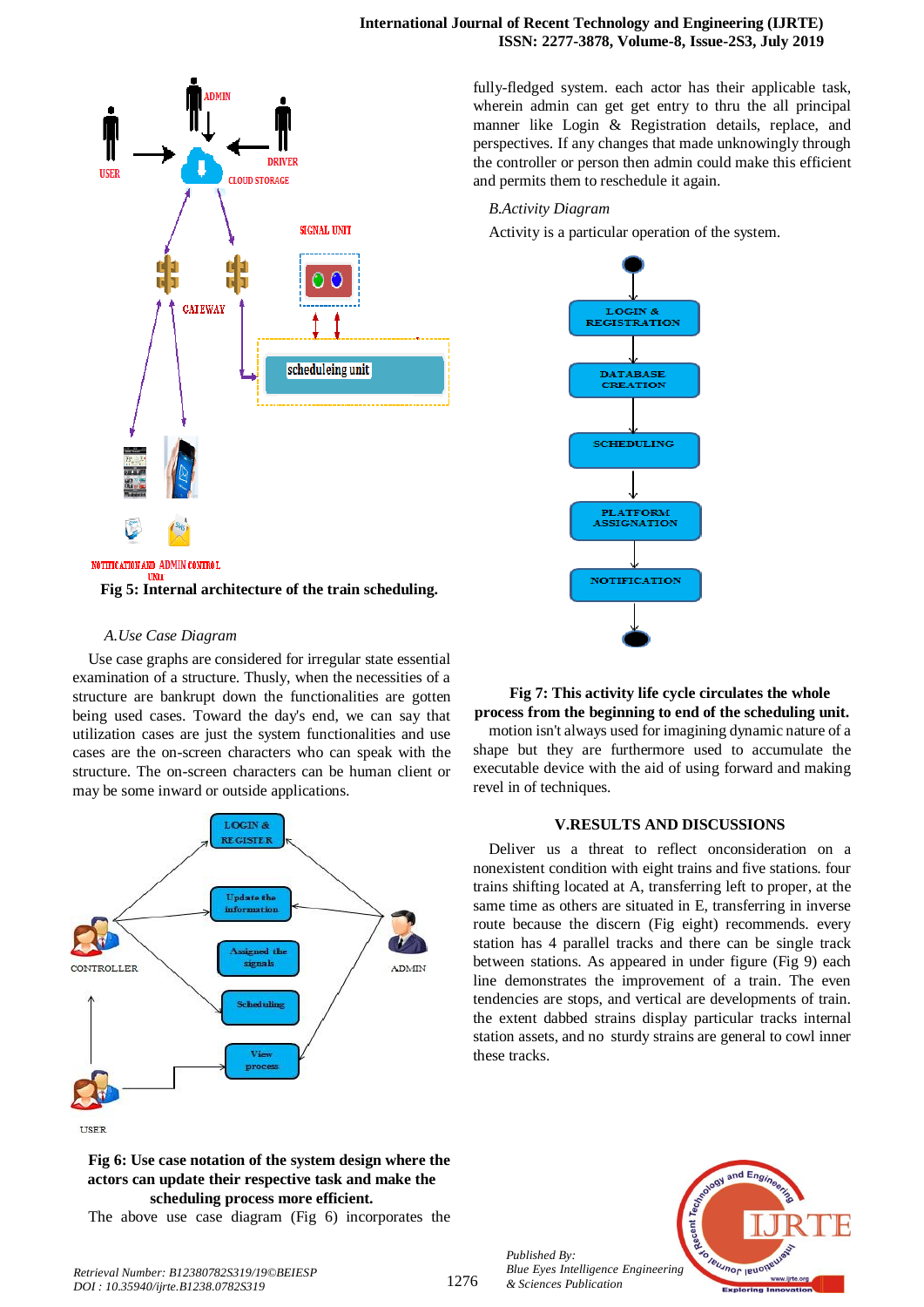#### **International Journal of Recent Technology and Engineering (IJRTE) ISSN: 2277-3878, Volume-8, Issue-2S3, July 2019**



# *A.Use Case Diagram*

Use case graphs are considered for irregular state essential examination of a structure. Thusly, when the necessities of a structure are bankrupt down the functionalities are gotten being used cases. Toward the day's end, we can say that utilization cases are just the system functionalities and use cases are the on-screen characters who can speak with the structure. The on-screen characters can be human client or may be some inward or outside applications.



**Fig 6: Use case notation of the system design where the actors can update their respective task and make the scheduling process more efficient.**

The above use case diagram (Fig 6) incorporates the

fully-fledged system. each actor has their applicable task, wherein admin can get get entry to thru the all principal manner like Login & Registration details, replace, and perspectives. If any changes that made unknowingly through the controller or person then admin could make this efficient and permits them to reschedule it again.

# *B.Activity Diagram*

revel in of techniques.

Activity is a particular operation of the system.



**Fig 7: This activity life cycle circulates the whole process from the beginning to end of the scheduling unit.** motion isn't always used for imagining dynamic nature of a shape but they are furthermore used to accumulate the executable device with the aid of using forward and making

## **V.RESULTS AND DISCUSSIONS**

Deliver us a threat to reflect onconsideration on a nonexistent condition with eight trains and five stations. four trains shifting located at A, transferring left to proper, at the same time as others are situated in E, transferring in inverse route because the discern (Fig eight) recommends. every station has 4 parallel tracks and there can be single track between stations. As appeared in under figure (Fig 9) each line demonstrates the improvement of a train. The even tendencies are stops, and vertical are developments of train. the extent dabbed strains display particular tracks internal station assets, and no sturdy strains are general to cowl inner these tracks.

*Published By: Blue Eyes Intelligence Engineering & Sciences Publication* 



1276